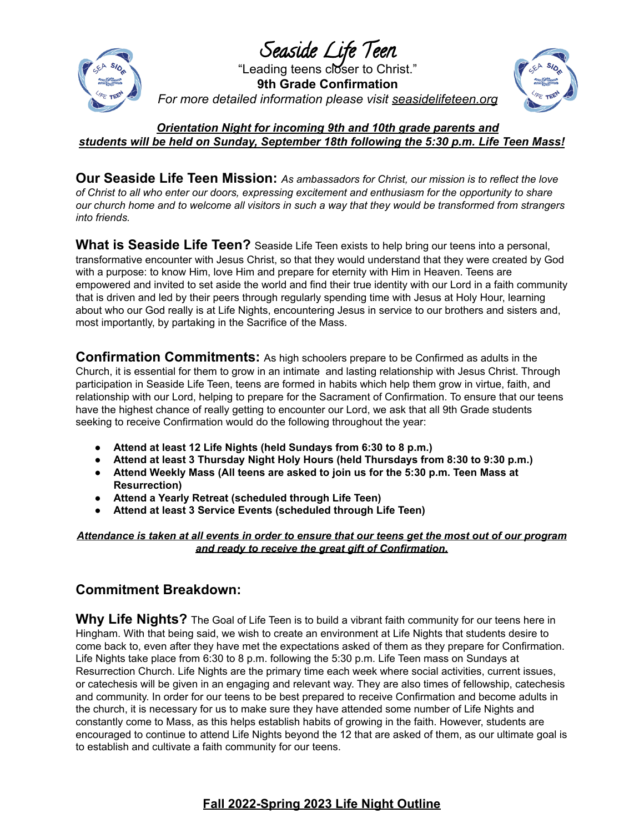

Seaside Life Teen "Leading teens closer to Christ." **9th Grade Confirmation** *For more detailed information please visit seasidelifeteen.org*



*Orientation Night for incoming 9th and 10th grade parents and students will be held on Sunday, September 18th following the 5:30 p.m. Life Teen Mass!*

**Our Seaside Life Teen Mission:** *As ambassadors for Christ, our mission is to reflect the love of Christ to all who enter our doors, expressing excitement and enthusiasm for the opportunity to share* our church home and to welcome all visitors in such a way that they would be transformed from strangers *into friends.*

**What is Seaside Life Teen?** Seaside Life Teen exists to help bring our teens into a personal, transformative encounter with Jesus Christ, so that they would understand that they were created by God with a purpose: to know Him, love Him and prepare for eternity with Him in Heaven. Teens are empowered and invited to set aside the world and find their true identity with our Lord in a faith community that is driven and led by their peers through regularly spending time with Jesus at Holy Hour, learning about who our God really is at Life Nights, encountering Jesus in service to our brothers and sisters and, most importantly, by partaking in the Sacrifice of the Mass.

**Confirmation Commitments:** As high schoolers prepare to be Confirmed as adults in the Church, it is essential for them to grow in an intimate and lasting relationship with Jesus Christ. Through participation in Seaside Life Teen, teens are formed in habits which help them grow in virtue, faith, and relationship with our Lord, helping to prepare for the Sacrament of Confirmation. To ensure that our teens have the highest chance of really getting to encounter our Lord, we ask that all 9th Grade students seeking to receive Confirmation would do the following throughout the year:

- **Attend at least 12 Life Nights (held Sundays from 6:30 to 8 p.m.)**
- **Attend at least 3 Thursday Night Holy Hours (held Thursdays from 8:30 to 9:30 p.m.)**
- **Attend Weekly Mass (All teens are asked to join us for the 5:30 p.m. Teen Mass at Resurrection)**
- **Attend a Yearly Retreat (scheduled through Life Teen)**
- **Attend at least 3 Service Events (scheduled through Life Teen)**

Attendance is taken at all events in order to ensure that our teens get the most out of our program *and ready to receive the great gift of Confirmation.*

## **Commitment Breakdown:**

**Why Life Nights?** The Goal of Life Teen is to build a vibrant faith community for our teens here in Hingham. With that being said, we wish to create an environment at Life Nights that students desire to come back to, even after they have met the expectations asked of them as they prepare for Confirmation. Life Nights take place from 6:30 to 8 p.m. following the 5:30 p.m. Life Teen mass on Sundays at Resurrection Church. Life Nights are the primary time each week where social activities, current issues, or catechesis will be given in an engaging and relevant way. They are also times of fellowship, catechesis and community. In order for our teens to be best prepared to receive Confirmation and become adults in the church, it is necessary for us to make sure they have attended some number of Life Nights and constantly come to Mass, as this helps establish habits of growing in the faith. However, students are encouraged to continue to attend Life Nights beyond the 12 that are asked of them, as our ultimate goal is to establish and cultivate a faith community for our teens.

## **Fall 2022-Spring 2023 Life Night Outline**